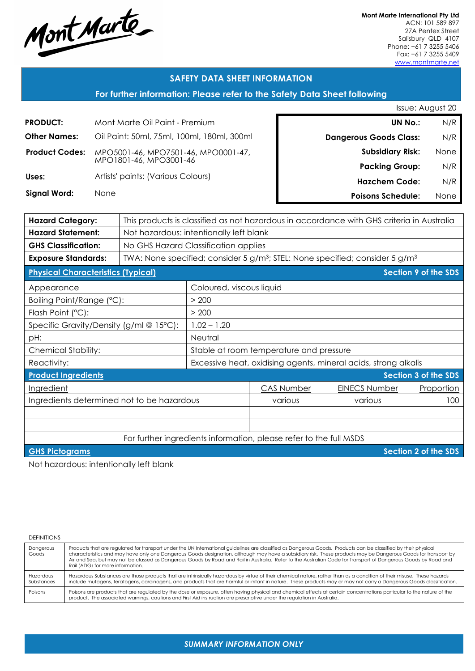Mont Marte

**Mont Marte International Pty Ltd** ACN: 101 589 897 27A Pentex Street Salisbury QLD 4107 Phone: +61 7 3255 5406 Fax: +61 7 3255 5409 www.montmarte.net

### **SAFETY DATA SHEET INFORMATION**

### **For further information: Please refer to the Safety Data Sheet following**

|                       |                                            | Issue: August 20              |      |
|-----------------------|--------------------------------------------|-------------------------------|------|
| <b>PRODUCT:</b>       | Mont Marte Oil Paint - Premium             | <b>UN No.:</b>                | N/R  |
| <b>Other Names:</b>   | Oil Paint: 50ml, 75ml, 100ml, 180ml, 300ml | <b>Dangerous Goods Class:</b> | N/R  |
| <b>Product Codes:</b> | MPO5001-46, MPO7501-46, MPO0001-47,        | <b>Subsidiary Risk:</b>       | None |
|                       | MPO1801-46, MPO3001-46                     | <b>Packing Group:</b>         | N/R  |
| Uses:                 | Artists' paints: (Various Colours)         | <b>Hazchem Code:</b>          | N/R  |
| Signal Word:          | <b>None</b>                                | <b>Poisons Schedule:</b>      | None |
|                       |                                            |                               |      |

| <b>Hazard Category:</b>                                            | This products is classified as not hazardous in accordance with GHS criteria in Australia            |                                                                 |                      |            |                             |
|--------------------------------------------------------------------|------------------------------------------------------------------------------------------------------|-----------------------------------------------------------------|----------------------|------------|-----------------------------|
| <b>Hazard Statement:</b>                                           | Not hazardous: intentionally left blank                                                              |                                                                 |                      |            |                             |
| <b>GHS Classification:</b>                                         | No GHS Hazard Classification applies                                                                 |                                                                 |                      |            |                             |
| <b>Exposure Standards:</b>                                         | TWA: None specified; consider 5 g/m <sup>3</sup> ; STEL: None specified; consider 5 g/m <sup>3</sup> |                                                                 |                      |            |                             |
| <b>Physical Characteristics (Typical)</b>                          |                                                                                                      |                                                                 |                      |            | <b>Section 9 of the SDS</b> |
| Appearance                                                         |                                                                                                      | Coloured, viscous liquid                                        |                      |            |                             |
| Boiling Point/Range (°C):                                          |                                                                                                      | > 200                                                           |                      |            |                             |
| Flash Point (°C):                                                  |                                                                                                      | > 200                                                           |                      |            |                             |
| Specific Gravity/Density (g/ml @ 15°C):                            |                                                                                                      | $1.02 - 1.20$                                                   |                      |            |                             |
| pH:                                                                |                                                                                                      | Neutral                                                         |                      |            |                             |
| <b>Chemical Stability:</b>                                         |                                                                                                      | Stable at room temperature and pressure                         |                      |            |                             |
| Reactivity:                                                        |                                                                                                      | Excessive heat, oxidising agents, mineral acids, strong alkalis |                      |            |                             |
| <b>Product Ingredients</b><br><b>Section 3 of the SDS</b>          |                                                                                                      |                                                                 |                      |            |                             |
| Ingredient                                                         |                                                                                                      | <b>CAS Number</b>                                               | <b>EINECS Number</b> | Proportion |                             |
| Ingredients determined not to be hazardous                         |                                                                                                      |                                                                 | various              | various    | 100                         |
|                                                                    |                                                                                                      |                                                                 |                      |            |                             |
|                                                                    |                                                                                                      |                                                                 |                      |            |                             |
| For further ingredients information, please refer to the full MSDS |                                                                                                      |                                                                 |                      |            |                             |
| Section 2 of the SDS<br><b>GHS Pictograms</b>                      |                                                                                                      |                                                                 |                      |            |                             |
|                                                                    |                                                                                                      |                                                                 |                      |            |                             |

Not hazardous: intentionally left blank

| <b>DEFINITIONS</b>      |                                                                                                                                                                                                                                                                                                                                                                                                                                                                                                                                          |
|-------------------------|------------------------------------------------------------------------------------------------------------------------------------------------------------------------------------------------------------------------------------------------------------------------------------------------------------------------------------------------------------------------------------------------------------------------------------------------------------------------------------------------------------------------------------------|
| Dangerous<br>Goods      | Products that are regulated for transport under the UN International guidelines are classified as Dangerous Goods. Products can be classified by their physical<br>characteristics and may have only one Dangerous Goods designation, although may have a subsidiary risk. These products may be Dangerous Goods for transport by<br>Air and Sea, but may not be classed as Dangerous Goods by Road and Rail in Australia. Refer to the Australian Code for Transport of Dangerous Goods by Road and<br>Rail (ADG) for more information. |
| Hazardous<br>Substances | Hazardous Substances are those products that are intrinsically hazardous by virtue of their chemical nature, rather than as a condition of their misuse. These hazards<br>include mutagens, teratogens, carcinogens, and products that are harmful or irritant in nature. These products may or may not carry a Dangerous Goods classification.                                                                                                                                                                                          |
| Poisons                 | Poisons are products that are regulated by the dose or exposure, often having physical and chemical effects at certain concentrations particular to the nature of the<br>product. The associated warnings, cautions and First Aid instruction are prescriptive under the regulation in Australia.                                                                                                                                                                                                                                        |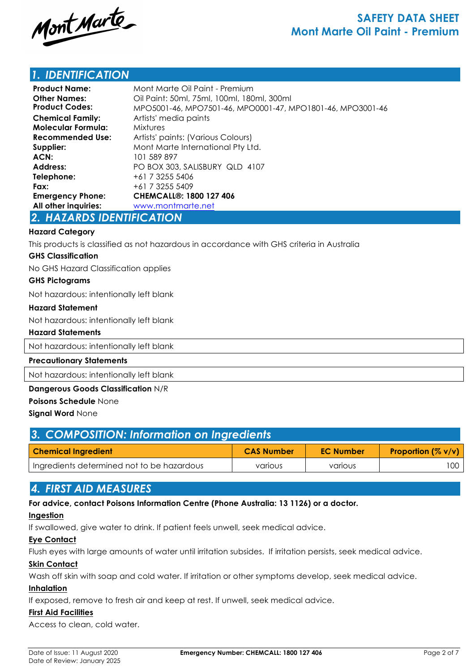

# **SAFETY DATA SHEET Mont Marte Oil Paint - Premium**

## *1. IDENTIFICATION*

| <b>Product Name:</b><br><b>Other Names:</b><br><b>Product Codes:</b> | Mont Marte Oil Paint - Premium<br>Oil Paint: 50ml, 75ml, 100ml, 180ml, 300ml<br>MPO5001-46, MPO7501-46, MPO0001-47, MPO1801-46, MPO3001-46 |
|----------------------------------------------------------------------|--------------------------------------------------------------------------------------------------------------------------------------------|
| <b>Chemical Family:</b>                                              | Artists' media paints                                                                                                                      |
| <b>Molecular Formula:</b>                                            | <b>Mixtures</b>                                                                                                                            |
| Recommended Use:                                                     | Artists' paints: (Various Colours)                                                                                                         |
| Supplier:                                                            | Mont Marte International Pty Ltd.                                                                                                          |
| ACN:                                                                 | 101 589 897                                                                                                                                |
| Address:                                                             | PO BOX 303, SALISBURY QLD 4107                                                                                                             |
| Telephone:                                                           | +61 7 3255 5406                                                                                                                            |
| Fax:                                                                 | +61 7 3255 5409                                                                                                                            |
| <b>Emergency Phone:</b>                                              | <b>CHEMCALL®: 1800 127 406</b>                                                                                                             |
| All other inquiries:                                                 | www.montmarte.net                                                                                                                          |

### *2. HAZARDS IDENTIFICATION*

#### **Hazard Category**

This products is classified as not hazardous in accordance with GHS criteria in Australia

#### **GHS Classification**

No GHS Hazard Classification applies

#### **GHS Pictograms**

Not hazardous: intentionally left blank

#### **Hazard Statement**

Not hazardous: intentionally left blank

#### **Hazard Statements**

Not hazardous: intentionally left blank

#### **Precautionary Statements**

Not hazardous: intentionally left blank

#### **Dangerous Goods Classification** N/R

#### **Poisons Schedule** None

**Signal Word** None

| 3. COMPOSITION: Information on Ingredients |                   |                  |                                         |  |
|--------------------------------------------|-------------------|------------------|-----------------------------------------|--|
| <b>Chemical Ingredient</b>                 | <b>CAS Number</b> | <b>EC Number</b> | <b>Proportion <math>(\% v/v)</math></b> |  |
| Ingredients determined not to be hazardous | various           | various          | 100                                     |  |

## *4. FIRST AID MEASURES*

### **For advice, contact Poisons Information Centre (Phone Australia: 13 1126) or a doctor.**

#### **Ingestion**

If swallowed, give water to drink. If patient feels unwell, seek medical advice.

#### **Eye Contact**

Flush eyes with large amounts of water until irritation subsides. If irritation persists, seek medical advice.

### **Skin Contact**

Wash off skin with soap and cold water. If irritation or other symptoms develop, seek medical advice.

#### **Inhalation**

If exposed, remove to fresh air and keep at rest. If unwell, seek medical advice.

### **First Aid Facilities**

Access to clean, cold water.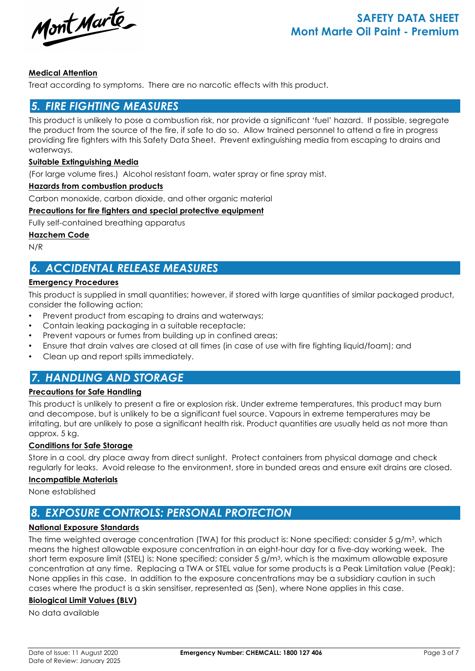Mont Marte

### **Medical Attention**

Treat according to symptoms. There are no narcotic effects with this product.

### *5. FIRE FIGHTING MEASURES*

This product is unlikely to pose a combustion risk, nor provide a significant 'fuel' hazard. If possible, segregate the product from the source of the fire, if safe to do so. Allow trained personnel to attend a fire in progress providing fire fighters with this Safety Data Sheet. Prevent extinguishing media from escaping to drains and waterways.

#### **Suitable Extinguishing Media**

(For large volume fires.) Alcohol resistant foam, water spray or fine spray mist.

#### **Hazards from combustion products**

Carbon monoxide, carbon dioxide, and other organic material

#### **Precautions for fire fighters and special protective equipment**

Fully self-contained breathing apparatus

**Hazchem Code**

N/R

# *6. ACCIDENTAL RELEASE MEASURES*

#### **Emergency Procedures**

This product is supplied in small quantities; however, if stored with large quantities of similar packaged product, consider the following action:

- Prevent product from escaping to drains and waterways;
- Contain leaking packaging in a suitable receptacle;
- Prevent vapours or fumes from building up in confined areas;
- Ensure that drain valves are closed at all times (in case of use with fire fighting liquid/foam); and
- Clean up and report spills immediately.

# *7. HANDLING AND STORAGE*

#### **Precautions for Safe Handling**

This product is unlikely to present a fire or explosion risk. Under extreme temperatures, this product may burn and decompose, but is unlikely to be a significant fuel source. Vapours in extreme temperatures may be irritating, but are unlikely to pose a significant health risk. Product quantities are usually held as not more than approx. 5 kg.

### **Conditions for Safe Storage**

Store in a cool, dry place away from direct sunlight. Protect containers from physical damage and check regularly for leaks. Avoid release to the environment, store in bunded areas and ensure exit drains are closed.

#### **Incompatible Materials**

None established

# *8. EXPOSURE CONTROLS: PERSONAL PROTECTION*

#### **National Exposure Standards**

The time weighted average concentration (TWA) for this product is: None specified; consider 5 g/m<sup>3</sup>, which means the highest allowable exposure concentration in an eight-hour day for a five-day working week. The short term exposure limit (STEL) is: None specified; consider 5 g/m3, which is the maximum allowable exposure concentration at any time. Replacing a TWA or STEL value for some products is a Peak Limitation value (Peak): None applies in this case. In addition to the exposure concentrations may be a subsidiary caution in such cases where the product is a skin sensitiser, represented as (Sen), where None applies in this case.

### **Biological Limit Values (BLV)**

No data available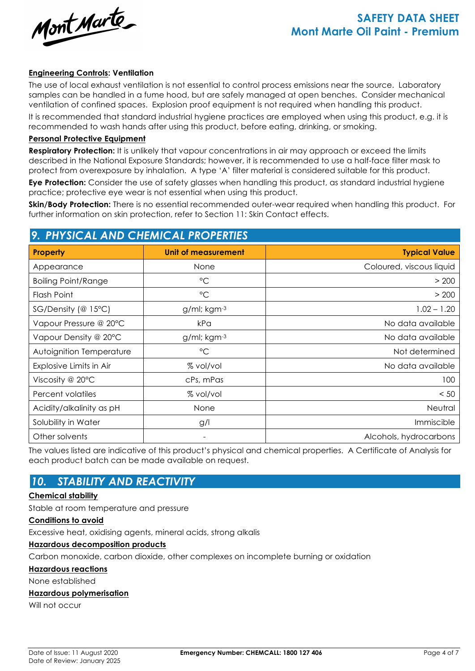Mont Marte

# **SAFETY DATA SHEET Mont Marte Oil Paint - Premium**

#### **Engineering Controls: Ventilation**

The use of local exhaust ventilation is not essential to control process emissions near the source. Laboratory samples can be handled in a fume hood, but are safely managed at open benches. Consider mechanical ventilation of confined spaces. Explosion proof equipment is not required when handling this product.

It is recommended that standard industrial hygiene practices are employed when using this product, e.g. it is recommended to wash hands after using this product, before eating, drinking, or smoking.

#### **Personal Protective Equipment**

**Respiratory Protection:** It is unlikely that vapour concentrations in air may approach or exceed the limits described in the National Exposure Standards; however, it is recommended to use a half-face filter mask to protect from overexposure by inhalation. A type 'A' filter material is considered suitable for this product.

**Eye Protection:** Consider the use of safety glasses when handling this product, as standard industrial hygiene practice; protective eye wear is not essential when using this product.

**Skin/Body Protection:** There is no essential recommended outer-wear required when handling this product. For further information on skin protection, refer to Section 11: Skin Contact effects.

# *9. PHYSICAL AND CHEMICAL PROPERTIES*

| Property                   | <b>Unit of measurement</b> | <b>Typical Value</b>     |  |  |
|----------------------------|----------------------------|--------------------------|--|--|
| Appearance                 | <b>None</b>                | Coloured, viscous liquid |  |  |
| <b>Boiling Point/Range</b> | $\rm ^{\circ}C$            | > 200                    |  |  |
| Flash Point                | $\rm ^{\circ}C$            | > 200                    |  |  |
| SG/Density (@ 15°C)        | g/ml; kgm-3                | $1.02 - 1.20$            |  |  |
| Vapour Pressure @ 20°C     | kPa                        | No data available        |  |  |
| Vapour Density @ 20°C      | g/ml; kgm-3                | No data available        |  |  |
| Autoignition Temperature   | $\rm ^{\circ}C$            | Not determined           |  |  |
| Explosive Limits in Air    | % vol/vol                  | No data available        |  |  |
| Viscosity @ 20°C           | cPs, mPas                  | 100                      |  |  |
| Percent volatiles          | % vol/vol                  | < 50                     |  |  |
| Acidity/alkalinity as pH   | None                       | Neutral                  |  |  |
| Solubility in Water        | g/l                        | Immiscible               |  |  |
| Other solvents             |                            | Alcohols, hydrocarbons   |  |  |

The values listed are indicative of this product's physical and chemical properties. A Certificate of Analysis for each product batch can be made available on request.

## *10. STABILITY AND REACTIVITY*

#### **Chemical stability**

Stable at room temperature and pressure

#### **Conditions to avoid**

Excessive heat, oxidising agents, mineral acids, strong alkalis

#### **Hazardous decomposition products**

Carbon monoxide, carbon dioxide, other complexes on incomplete burning or oxidation

#### **Hazardous reactions**

None established

#### **Hazardous polymerisation**

Will not occur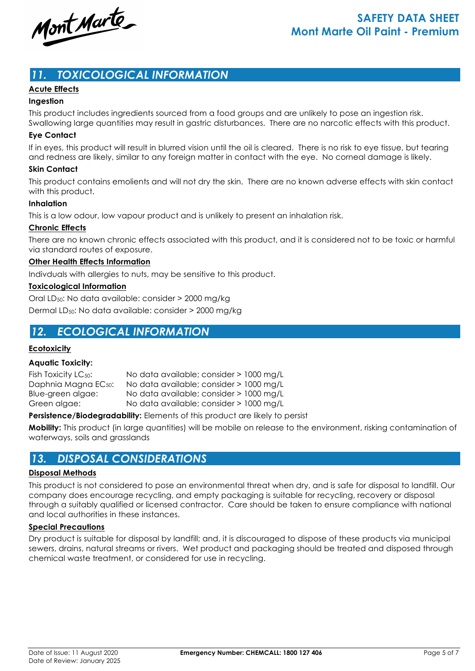Mont Marte

## *11. TOXICOLOGICAL INFORMATION*

#### **Acute Effects**

#### **Ingestion**

This product includes ingredients sourced from a food groups and are unlikely to pose an ingestion risk.

Swallowing large quantities may result in gastric disturbances. There are no narcotic effects with this product. **Eye Contact**

If in eyes, this product will result in blurred vision until the oil is cleared. There is no risk to eye tissue, but tearing and redness are likely, similar to any foreign matter in contact with the eye. No corneal damage is likely.

#### **Skin Contact**

This product contains emolients and will not dry the skin. There are no known adverse effects with skin contact with this product.

#### **Inhalation**

This is a low odour, low vapour product and is unlikely to present an inhalation risk.

#### **Chronic Effects**

There are no known chronic effects associated with this product, and it is considered not to be toxic or harmful via standard routes of exposure.

#### **Other Health Effects Information**

Indivduals with allergies to nuts, may be sensitive to this product.

#### **Toxicological Information**

Oral LD50: No data available: consider > 2000 mg/kg Dermal LD50: No data available: consider > 2000 mg/kg

## *12. ECOLOGICAL INFORMATION*

#### **Ecotoxicity**

#### **Aquatic Toxicity:**

| Fish Toxicity LC <sub>50</sub> : | No data available; consider > 1000 mg/L |  |
|----------------------------------|-----------------------------------------|--|
| Daphnia Magna EC <sub>50</sub> : | No data available; consider > 1000 mg/L |  |
| Blue-green algae:                | No data available; consider > 1000 mg/L |  |
| Green algae:                     | No data available; consider > 1000 mg/L |  |

**Persistence/Biodegradability:** Elements of this product are likely to persist

**Mobility:** This product (in large quantities) will be mobile on release to the environment, risking contamination of waterways, soils and grasslands

## *13. DISPOSAL CONSIDERATIONS*

#### **Disposal Methods**

This product is not considered to pose an environmental threat when dry, and is safe for disposal to landfill. Our company does encourage recycling, and empty packaging is suitable for recycling, recovery or disposal through a suitably qualified or licensed contractor. Care should be taken to ensure compliance with national and local authorities in these instances.

#### **Special Precautions**

Dry product is suitable for disposal by landfill; and, it is discouraged to dispose of these products via municipal sewers, drains, natural streams or rivers. Wet product and packaging should be treated and disposed through chemical waste treatment, or considered for use in recycling.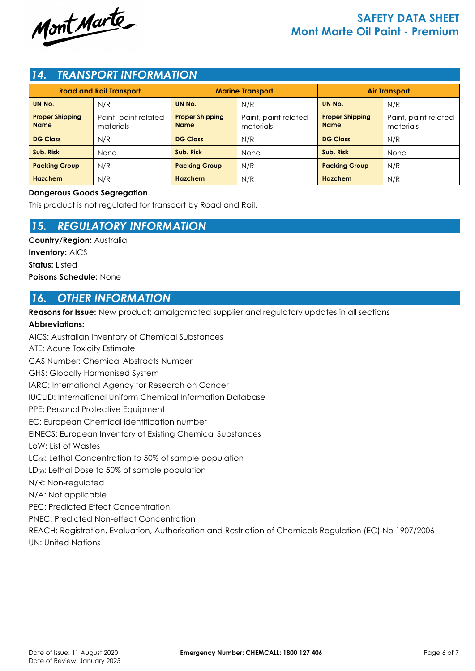

# **SAFETY DATA SHEET Mont Marte Oil Paint - Premium**

### *14. TRANSPORT INFORMATION*

| <b>Road and Rail Transport</b>        |                                   | <b>Marine Transport</b>               |                                   | <b>Air Transport</b>                  |                                   |
|---------------------------------------|-----------------------------------|---------------------------------------|-----------------------------------|---------------------------------------|-----------------------------------|
| UN No.                                | N/R                               | UN No.                                | N/R                               | UN No.                                | N/R                               |
| <b>Proper Shipping</b><br><b>Name</b> | Paint, paint related<br>materials | <b>Proper Shipping</b><br><b>Name</b> | Paint, paint related<br>materials | <b>Proper Shipping</b><br><b>Name</b> | Paint, paint related<br>materials |
| <b>DG Class</b>                       | N/R                               | <b>DG Class</b>                       | N/R                               | <b>DG Class</b>                       | N/R                               |
| Sub. Risk                             | None                              | Sub. Risk                             | None                              | Sub. Risk                             | None                              |
| <b>Packing Group</b>                  | N/R                               | <b>Packing Group</b>                  | N/R                               | <b>Packing Group</b>                  | N/R                               |
| <b>Hazchem</b>                        | N/R                               | <b>Hazchem</b>                        | N/R                               | <b>Hazchem</b>                        | N/R                               |

#### **Dangerous Goods Segregation**

This product is not regulated for transport by Road and Rail.

## *15. REGULATORY INFORMATION*

**Country/Region:** Australia **Inventory:** AICS **Status:** Listed **Poisons Schedule:** None

## *16. OTHER INFORMATION*

**Reasons for Issue:** New product; amalgamated supplier and regulatory updates in all sections

#### **Abbreviations:**

AICS: Australian Inventory of Chemical Substances ATE: Acute Toxicity Estimate CAS Number: Chemical Abstracts Number GHS: Globally Harmonised System IARC: International Agency for Research on Cancer IUCLID: International Uniform Chemical Information Database PPE: Personal Protective Equipment EC: European Chemical identification number EINECS: European Inventory of Existing Chemical Substances LoW: List of Wastes LC<sub>50</sub>: Lethal Concentration to 50% of sample population LD50: Lethal Dose to 50% of sample population N/R: Non-regulated N/A: Not applicable PEC: Predicted Effect Concentration PNEC: Predicted Non-effect Concentration REACH: Registration, Evaluation, Authorisation and Restriction of Chemicals Regulation (EC) No 1907/2006 UN: United Nations